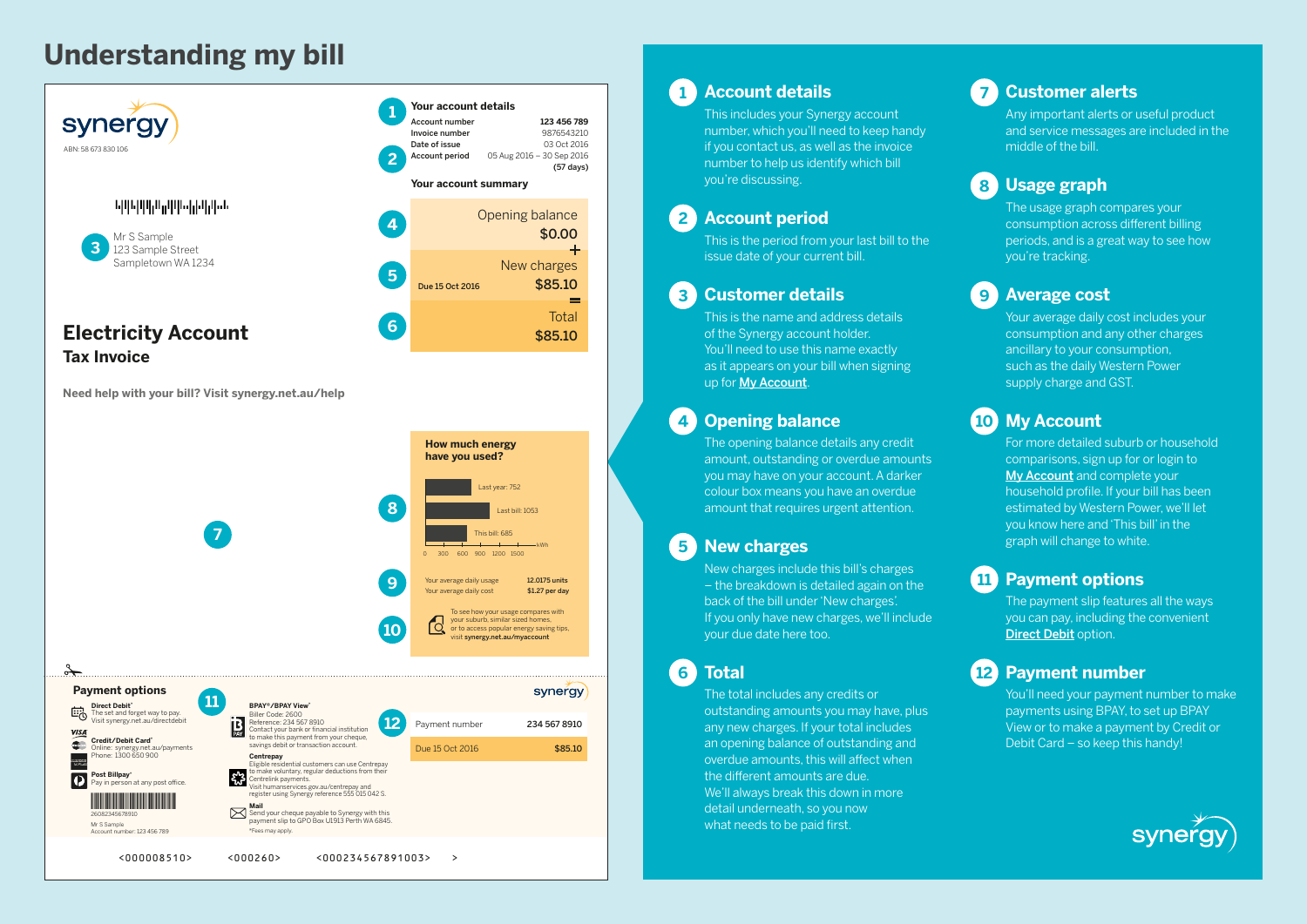# **Understanding my bill**



**Need help with your bill? Visit synergy.net.au/help**



# **1 Account details**

This includes your Synergy account number, which you'll need to keep handy if you contact us, as well as the invoice number to help us identify which bill you're discussing.

## **2 Account period**

This is the period from your last bill to the issue date of your current bill.

## **3 Customer details**

This is the name and address details of the Synergy account holder. You'll need to use this name exactly as it appears on your bill when signing up for [My Account](http://synergy.net.au/myaccount).

## **4 Opening balance**

The opening balance details any credit amount, outstanding or overdue amounts you may have on your account. A darker colour box means you have an overdue amount that requires urgent attention.

# **5 New charges**

New charges include this bill's charges – the breakdown is detailed again on the back of the bill under 'New charges'. If you only have new charges, we'll include your due date here too.

**6 Total**

The total includes any credits or outstanding amounts you may have, plus any new charges. If your total includes an opening balance of outstanding and overdue amounts, this will affect when the different amounts are due. We'll always break this down in more detail underneath, so you now what needs to be paid first.

## **7 Customer alerts**

Any important alerts or useful product and service messages are included in the middle of the bill.

# **8 Usage graph**

The usage graph compares your consumption across different billing periods, and is a great way to see how you're tracking.

# **9 Average cost**

Your average daily cost includes your consumption and any other charges ancillary to your consumption, such as the daily Western Power supply charge and GST.

# **10 My Account**

For more detailed suburb or household comparisons, sign up for or login to [My Account](http://synergy.net.au/myaccount) and complete your household profile. If your bill has been estimated by Western Power, we'll let you know here and 'This bill' in the graph will change to white.

# **11 Payment options**

The payment slip features all the ways you can pay, including the convenient [Direct Debit](http://synergy.net.au/directdebit) option.

# **12 Payment number**

You'll need your payment number to make payments using BPAY, to set up BPAY View or to make a payment by Credit or Debit Card – so keep this handy!

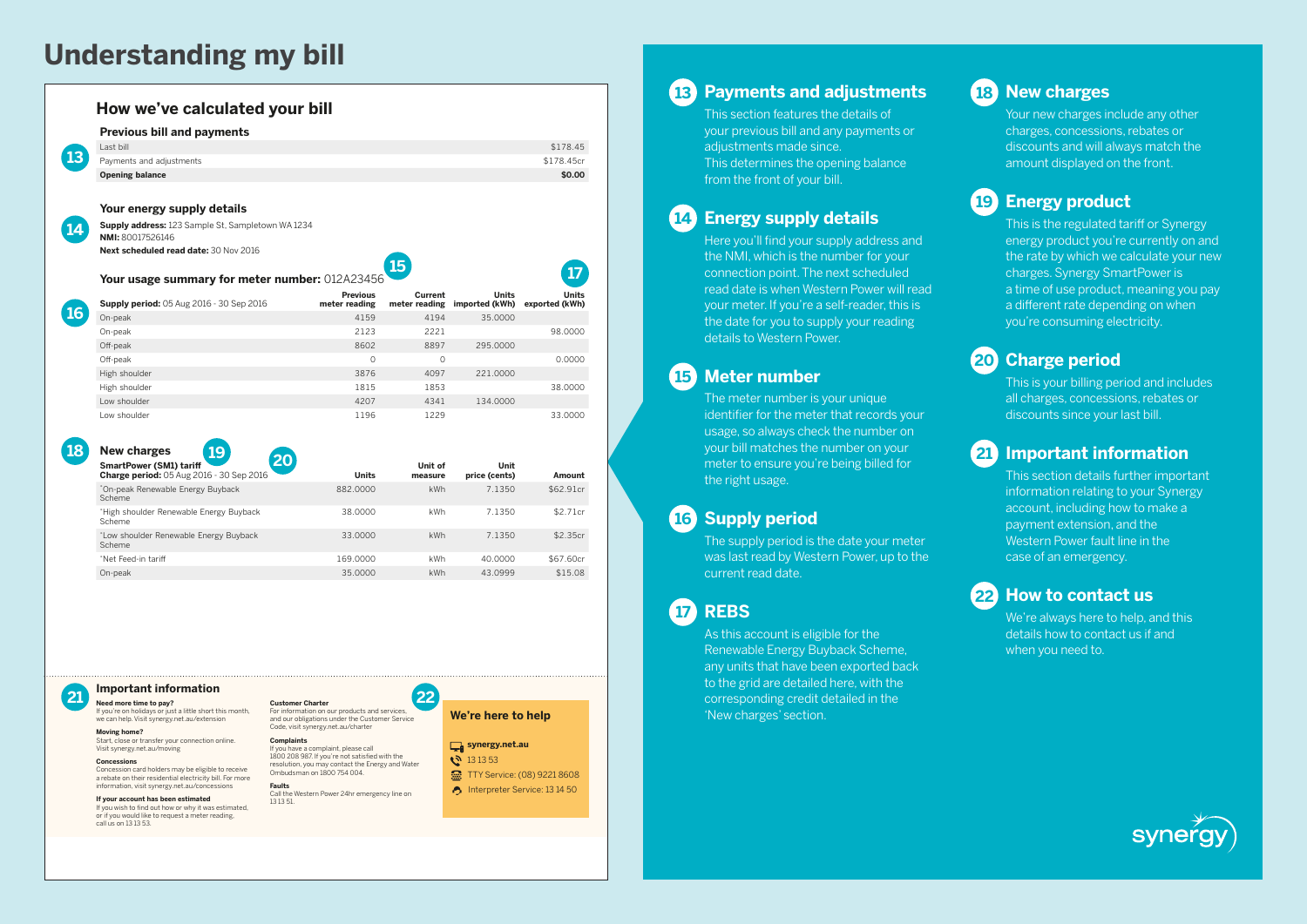# **Understanding my bill**

| <b>Previous bill and payments</b>                                          |                                  |                    |                                              |                                |
|----------------------------------------------------------------------------|----------------------------------|--------------------|----------------------------------------------|--------------------------------|
| Last bill                                                                  |                                  |                    |                                              | \$178.45                       |
| Payments and adjustments                                                   |                                  |                    |                                              | \$178.45cr                     |
| <b>Opening balance</b>                                                     |                                  |                    |                                              | \$0.00                         |
| Your energy supply details                                                 |                                  |                    |                                              |                                |
| Supply address: 123 Sample St, Sampletown WA 1234<br>NMI: 80017526146      |                                  |                    |                                              |                                |
| Next scheduled read date: 30 Nov 2016                                      |                                  | 15                 |                                              |                                |
| Your usage summary for meter number: 012A23456                             |                                  |                    |                                              |                                |
| <b>Supply period:</b> 05 Aug 2016 - 30 Sep 2016                            | <b>Previous</b><br>meter reading | Current            | <b>Units</b><br>meter reading imported (kWh) | <b>Units</b><br>exported (kWh) |
| On-peak                                                                    | 4159                             | 4194               | 35.0000                                      |                                |
| On-peak                                                                    | 2123                             | 2221               |                                              | 98.0000                        |
| Off-peak                                                                   | 8602                             | 8897               | 295.0000                                     |                                |
| Off-peak                                                                   | $\Omega$                         | $\Omega$           |                                              | 0.0000                         |
| High shoulder                                                              | 3876                             | 4097               | 221,0000                                     |                                |
| High shoulder                                                              | 1815                             | 1853               |                                              | 38.0000                        |
| I ow shoulder                                                              | 4207                             | 4341               | 134.0000                                     |                                |
| I ow shoulder                                                              | 1196                             | 1229               |                                              | 33.0000                        |
| <b>New charges</b><br>19                                                   |                                  |                    |                                              |                                |
| 20                                                                         | <b>Units</b>                     | Unit of<br>measure | Unit<br>price (cents)                        | Amount                         |
| <b>SmartPower (SM1) tariff</b><br>Charge period: 05 Aug 2016 - 30 Sep 2016 |                                  | <b>kWh</b>         | 7.1350                                       | \$62.91cr                      |
| *On-peak Renewable Energy Buyback<br>Scheme                                | 882,0000                         |                    |                                              | \$2.71cr                       |
| *High shoulder Renewable Energy Buyback<br>Scheme                          | 38,0000                          | kWh                | 7.1350                                       |                                |
| *Low shoulder Renewable Energy Buyback<br>Scheme                           | 33,0000                          | kWh                | 7.1350                                       | \$2.35cr                       |
|                                                                            |                                  |                    |                                              |                                |

#### **Important information**

If you're on holidays or just a little short this month, we can help. Visit synergy.net.au/extension

**Moving home?** Start, close or transfer your connection online. Visit synergy.net.au/moving

**Concessions**

Concession card holders may be eligible to receive a rebate on their residential electricity bill. For more information, visit synergy.net.au/concessions

**If your account has been estimated** If you wish to find out how or why it was estimated. or if you would like to request a meter reading, call us on 13 13 53.

**Need more time to pay? 21 22 Customer Charter** For information on our products and services, and our obligations under the Customer Service Code, visit synergy.net.au/charter

> **Complaints** If you have a complaint, please call<br>1800 208 987. If you're not satisfied with the resolution, you may contact the Energy and Water

**Faults** Call the Western Power 24hr emergency line on 13 13 51.

Ombudsman on 1800 754 004.

**We're here to help**

#### synergy.net.au

**13 13 53** TTY Service: (08) 9221 8608 nterpreter Service: 13 14 50

**13 Payments and adjustments**

This section features the details of your previous bill and any payments or adjustments made since. This determines the opening balance from the front of your bill.

### **14 Energy supply details**

Here you'll find your supply address and the NMI, which is the number for your connection point. The next scheduled read date is when Western Power will read your meter. If you're a self-reader, this is the date for you to supply your reading details to Western Power.

## **15 Meter number**

The meter number is your unique identifier for the meter that records your usage, so always check the number on your bill matches the number on your meter to ensure you're being billed for the right usage.

## **16 Supply period**

The supply period is the date your meter was last read by Western Power, up to the current read date.

**17 REBS**

As this account is eligible for the Renewable Energy Buyback Scheme, any units that have been exported back to the grid are detailed here, with the corresponding credit detailed in the 'New charges' section.

# **18 New charges**

Your new charges include any other charges, concessions, rebates or discounts and will always match the amount displayed on the front.

## **19 Energy product**

This is the regulated tariff or Synergy energy product you're currently on and the rate by which we calculate your new charges. Synergy SmartPower is a time of use product, meaning you pay a different rate depending on when you're consuming electricity.

## **20 Charge period**

This is your billing period and includes all charges, concessions, rebates or discounts since your last bill.

### **21 Important information**

This section details further important information relating to your Synergy account, including how to make a payment extension, and the Western Power fault line in the case of an emergency.

### **22 How to contact us**

We're always here to help, and this details how to contact us if and when you need to.